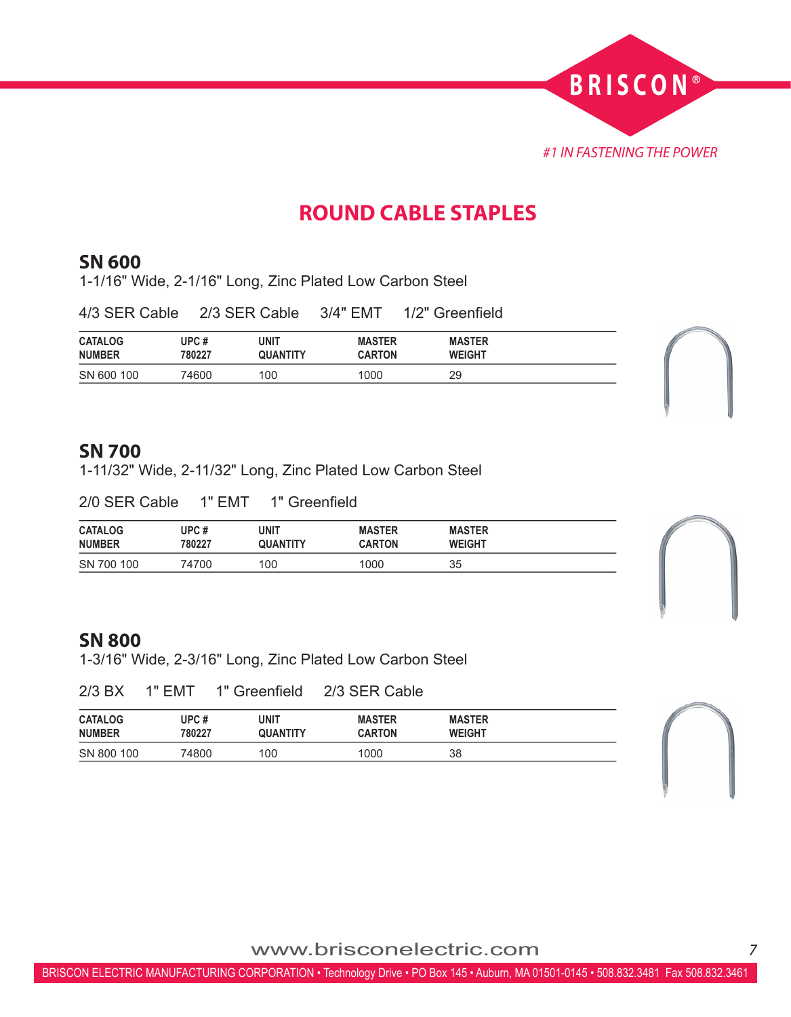

# **ROUND CABLE STAPLES**

### **SN 600**

1-1/16" Wide, 2-1/16" Long, Zinc Plated Low Carbon Steel

| 4/3 SER Cable                   | 2/3 SER Cable  |                         | 3/4" EMT                       | 1/2" Greenfield                |  |
|---------------------------------|----------------|-------------------------|--------------------------------|--------------------------------|--|
| <b>CATALOG</b><br><b>NUMBER</b> | UPC#<br>780227 | unit<br><b>QUANTITY</b> | <b>MASTER</b><br><b>CARTON</b> | <b>MASTER</b><br><b>WEIGHT</b> |  |
| SN 600 100                      | 74600          | 100                     | 1000                           | 29                             |  |

#### **SN 700**

1-11/32" Wide, 2-11/32" Long, Zinc Plated Low Carbon Steel

2/0 SER Cable 1" EMT 1" Greenfield

| <b>CATALOG</b> | UPC#   | UNIT     | <b>MASTER</b> | <b>MASTER</b> |
|----------------|--------|----------|---------------|---------------|
| <b>NUMBER</b>  | 780227 | QUANTITY | <b>CARTON</b> | <b>WEIGHT</b> |
| SN 700 100     | 74700  | 100      | 1000          | 35            |

#### **SN 800**

1-3/16" Wide, 2-3/16" Long, Zinc Plated Low Carbon Steel

|  | 2/3 BX | 1" EMT | 1" Greenfield | 2/3 SER Cable |
|--|--------|--------|---------------|---------------|
|--|--------|--------|---------------|---------------|

| <b>CATALOG</b> | UPC #  | <b>UNIT</b>     | <b>MASTER</b> | <b>MASTER</b> |
|----------------|--------|-----------------|---------------|---------------|
| <b>NUMBER</b>  | 780227 | <b>QUANTITY</b> | <b>CARTON</b> | <b>WEIGHT</b> |
| SN 800 100     | 74800  | 100             | 1000          | 38            |

www.brisconelectric.com*<sup>7</sup>*